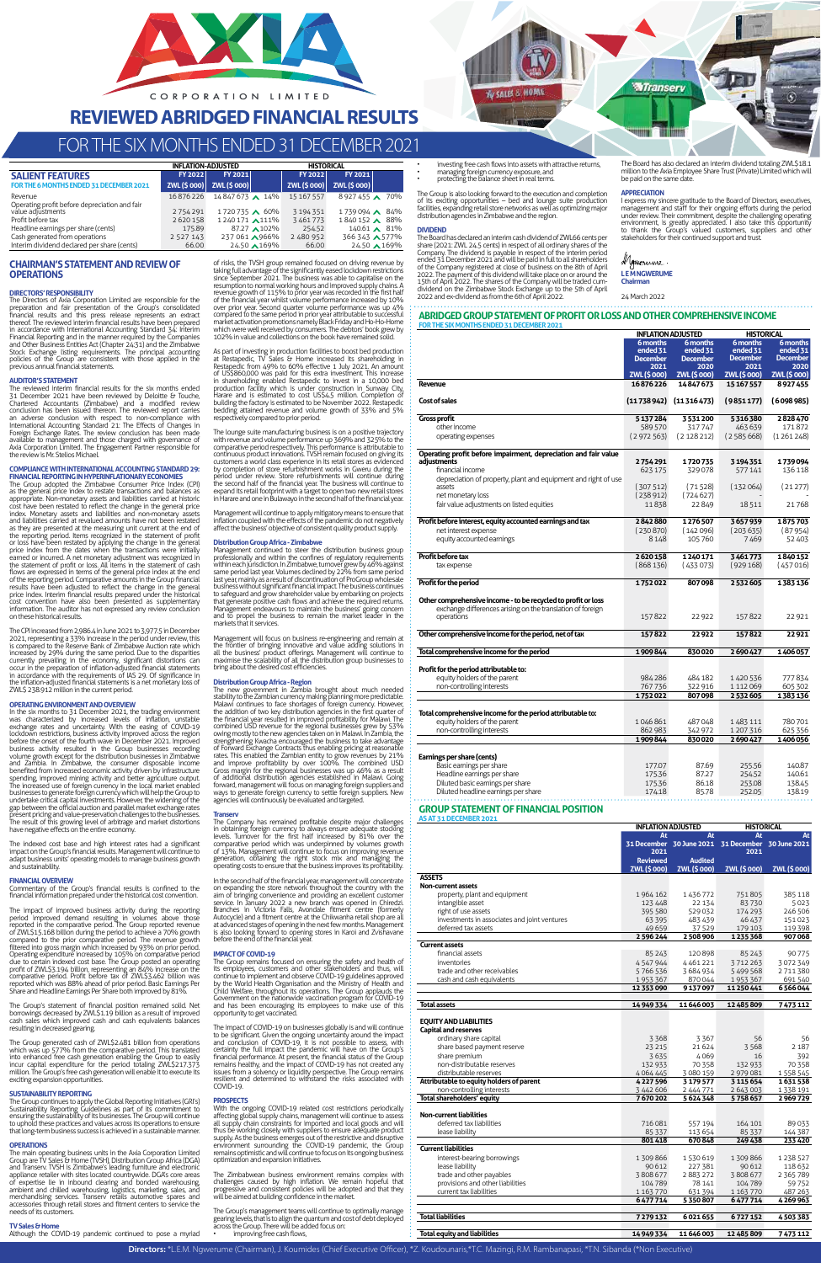# **CHAIRMAN'S STATEMENT AND REVIEW OF OPERATIONS**

The Directors of Axia Corporation Limited are responsible for the preparation and fair presentation of the Group's consolidated financial results and this press release represents an extract thereof. The reviewed interim financial results have been prepared in accordance with International Accounting Standard 34: Interim<br>Financial Reporting and in the manner required by the Companies<br>and Other Business Entities Act (Chapter 24:31) and the Zimbabwe<br>Stock Exchange listing requi

# **DIRECTORS' RESPONSIBILITY**

**AUDITOR'S STATEMENT** The reviewed interim financial results for the six months ended 31 December 2021 have been reviewed by Deloitte & Touche, Chartered Accountants (Zimbabwe) and a modified review conclusion has been issued thereon. The reviewed report carries an adverse conclusion with respect to non-compliance with<br>International Accounting Standard 21: The Effects of Changes in<br>Foreign Exchange Rates. The review conclusion has been made<br>available to management and those charge

# **COMPLIANCE WITH INTERNATIONAL ACCOUNTING STANDARD 29:**

**FINANCIAL REPORTING IN HYPERINFLATIONARY ECONOMIES**<br>The Group adopted the Zimbabwe Consumer Price Index (CPI) The Group adopted the Zimbabwe Consumer Price Index (CPI)<br>as the general price index to restate transactions and balances as<br>appropriate. Non-monetary assets and labilities carried at historic<br>cost have been restated to re

**OPERATING ENVIRONMENT AND OVERVIEW**<br>
In the six months to 31 December 2021, the trading environment<br>
In the six months to 31 December 2021, the trading environment<br>
was characterized by increased levels of inflation, unst present pricing and value-preservation challenges to the businesses. The result of this growing level of arbitrage and market distortions have negative effects on the entire economy.

The Group's statement of financial position remained solid. Net borrowings decreased by ZWL\$1.19 billion as a result of improved cash sales which improved cash and cash equivalents balances cost saces when improved as

The Group generated cash of ZWL\$2.481 billion from operations which was up 577% from the comparative period. This translated into enhanced free cash generation enabling the Group to easily<br>incur capital expenditure for the period totaling ZWL\$217.373<br>million.The Group's free cash generation will enable it to execute its<br>exciting expansion opport

The CPI increased from 2,986.4 in June 2021 to 3,977.5 in December 2021, representing a 33% increase in the period under review, this is compared to the Reserve Bank of Zimbabwe Auction rate which increased by 29% during the same period. Due to the disparities<br>currently prevailing in the economy, significant distortions can<br>occur in the preparation of inflation-adjusted financial statements<br>in accordance with the re ZWL\$ 238.912 million in the current period.

The main operating business units in the Axia Corporation Limited<br>Group are TV Sales & Home (TVSH), Distribution Group Africa (DGA) and Transerv. TVSH is Zimbabwe's leading furniture and electronic<br>appliance retailer with sites located countrywide. DGA's core areas<br>of expertise lie in inbound clearing and bonded warehousing<br>ambient and chilled warehous accessories through retail stores and fitment centers to service the needs of its customers.

investing free cash flows into assets with attractive returns, • managing foreign currency exposure, and • protecting the balance sheet in real terms.

The Group is also looking forward to the execution and completion<br>of its exciting opportunities – bed and lounge suite production<br>facilities, expanding retail store networks as well as optimizing major<br>distribution agencie

**BUSALES & HOME** 

The Board has declared an interim cash dividend of ZWL66 cents per share (2021: ZWL 24,5 cents) in respect of all ordinary shares of the Company. The dividend is payable in respect of the interim period energy energy of the company registered at close of business on the 8th of April 2022.

of risks, the TVSH group remained focused on driving revenue by taking full advantage of the significantly eased lockdown restrictions since September 2021. The business was able to capitalise on the resumption to normal working hours and improved supply chains. A<br>revenue growth of 11.5% to prior year was recorded in the first half<br>of the financial year whilst volume performance increased by 10%<br>over prior year. Second compared to the same period in prior year attributable to successful<br>market activation promotions namely Black Friday and Ho-Ho-Home<br>which were well received by consumers. The debtors' book grew by<br>102% in value and collec

The indexed cost base and high interest rates had a significant impact on the Group's financial results. Management will continue to adapt business units' operating models to manage business growth and sustainability.

# **FINANCIAL OVERVIEW**

Commentary of the Group's financial results is confined to the financial information prepared under the historical cost convention.

The impact of improved business activity during the reporting<br>period improved demand resulting in volumes above those<br>reported in the comparative period. The Group reported revenue<br>of ZWL\$15.168 billion during the period t

As part of investing in production facilities to boost bed production<br>at Restapedic, TV Sales & Home increased its shareholding in Restapedic from 49% to 60% effective 1 July 2021. An amount<br>of US\$860,000 was paid for this extra investment. This increase<br>in shareholding enabled Restapedic to invest in a 10,000 bed<br>production facility which is under co building the factory is estimated to be November 2022. Restapedic bedding attained revenue and volume growth of 33% and 5% respectively compared to prior period.

The lounge suite manufacturing business is on a positive trajectory<br>with revenue and volume performance up 369% and 325% to the<br>comparative period respectively. This performance is attributable to<br>continuous product innova customers a world class experience in its retail stores as evidenced<br>by completion of store refurbishment works in Gweru during the<br>period under review. Store refurbishments will continue during<br>the second half of the fina

Management continued to steer the distribution business group<br>professionally and within the confines of regulatory requirements<br>withineach jurisdiction. In Zimbabwe, turnover grew by 46% against<br>same period last year. Volu last year, mainly as a result of discontinuation of ProGroup wholesale<br>business without significant financial impact. The business continues<br>to safeguard and grow shareholder value by embarking on projects<br>that generate po markets that it services.

anagement will focus on business re-engineering and remain at the frontier of bringing innovative and value adding solutions in<br>all the business' product offerings. Management will continue to<br>maximise the scalability of all the distribution group businesses to<br>bring about the desire

**Distribution Group Africa - Region**<br>The new government in Zambia brought about much needed<br>The new government in Zambia currency making planning more predicable.<br>Malakur continues to face shortages of foreign currency. Ho

**Transerv**<br>The Company has remained profitable despite major challenges<br>In obtaining foreign currency to always ensure adequate stocking<br>levels. Turnover for the first half increased by 81% over the<br>comparative period whic

# **SUSTAINABILITY REPORTING**

The Group continues to apply the Global Reporting Initiatives (GRI's) Sustainability Reporting Guidelines as part of its commitment to ensuring the sustainability of its businesses. The Group will continue to uphold these practices and values across its operations to ensure that long-term business success is achieved in a sustainable manner.

# **OPERATIONS**<br>The main one

In the second half of the financial year, management will concentrate on expanding the store network throughout the country with the aim of bringing convenience and providing an excellent customer service. In January 2022 a new branch was opened in Chiredzi. Branches in Victoria Falls, Avondale fitment centre (formerly Autocycle) and a fitment centre at the Chikwanha retail shop are all at advanced stages of opening in the next few months. Management is also looking forward to opening stores in Karoi and Zvishavane before the end of the financial year.

The Group remains focused on ensuring the safety and health of its employees, customers and other stakeholders and thus, will continue to implement and observe COVID-19 guidelines approved by the World Health Organisation and the Ministry of Health and<br>Child Welfare, throughout its operations. The Group applauds the<br>Government on the nationwide vaccination program for COVID-19<br>and has been encouraging its em

**TV Sales & Home**  Although the COVID-19 pandemic continued to pose a myriad

### **DIVIDEND**

Management will continue to apply mitigatory means to ensure that inflation coupled with the effects of the pandemic do not negatively affect the business' objective of consistent quality product supply.

### **Distribution Group Africa - Zimbabwe**

# **IMPACT OF COVID-19**

opportunity to get vaccinated.

The impact of COVID-19 on businesses globally is and will continue to be significant. Given the ongoing uncertainty around the impact and conclusion of COVID-19, it is not possible to assess, with certainty the full impact the pandemic will have on the Group's financial performance. At present, the financial status of the Group<br>remains healthy, and the impact of COVID-19 has not created any<br>issues from a solvency or liquidity perspective. The Group remains<br>resilient and determin COVID-19.

### **PROSPECTS**

With the ongoing COVID-19 related cost restrictions periodically affecting global supply chains, management will continue to assess all supply chain constraints for imported and local goods and will thus be working closely with suppliers to ensure adequate product<br>supply. As the business emerges out of the restrictive and disruptive<br>environment surrounding the COVID-19 pandemic, the Group<br>remains optimistic and will c optimization and expansion initiatives.

The Zimbabwean business environment remains complex with challenges caused by high inflation. We remain hopeful that progressive and consistent policies will be adopted and that they will be aimed at building confidence in the market.

The Group's management teams will continue to optimally manage<br>gearing levels, that is to align the quantum and cost of debt deployed<br>across the Group. There will be added focus on:<br>• improving free cash flows,

Directors: \*L.E.M. Ngwerume (Chairman), J. Koumides (Chief Executive Officer), \*Z. Koudounaris,\*T.C. Mazingi, R.M. Rambanapasi, \*T.N. Sibanda (\*Non Executive)

The Board has also declared an interim dividend totaling ZWL\$18.1 million to the Axia Employee Share Trust (Private) Limited which will be paid on the same date.

# **APPRECIATION**

**MTranserv** 

**THE ANTIST** m

I express my sincere gratitude to the Board of Directors, executives, management and staff for their ongoing efforts during the period under review. Their commitment, despite the challenging operating environment, is great

# **L E M NGWERUME Chairman**

24 March 2022

**ABRIDGED GROUP STATEMENT OF PROFIT OR LOSS AND OTHER COMPREHENSIVE INCOME FOR THE SIX MONTHS ENDED 31 DECEMBER 2021**

**INFLATION ADJUSTED HISTORICAL**

|                                                                 | 6 months<br>ended 31<br><b>December</b><br>2021 | 6 months<br>ended 31<br><b>December</b><br>2020 | 6 months<br>ended 31<br><b>December</b><br>2021 | 6 months<br>ended 31<br><b>December</b><br>2020 |
|-----------------------------------------------------------------|-------------------------------------------------|-------------------------------------------------|-------------------------------------------------|-------------------------------------------------|
|                                                                 | <b>ZWL (\$000)</b>                              | <b>ZWL(\$000)</b>                               | <b>ZWL (\$000)</b>                              | <b>ZWL(\$000)</b>                               |
| Revenue                                                         | 16876226                                        | 14847673                                        | 15 167 557                                      | 8927455                                         |
| <b>Cost of sales</b>                                            | (11738942)                                      | (11316473)                                      | (9851177)                                       | (6098985)                                       |
| <b>Gross profit</b>                                             | 5137284                                         | 3531200                                         | 5316380                                         | 2828470                                         |
| other income                                                    | 589 570                                         | 317747                                          | 463639                                          | 171872                                          |
| operating expenses                                              | (2972563)                                       | (2128212)                                       | (2585668)                                       | (1261248)                                       |
| Operating profit before impairment, depreciation and fair value |                                                 |                                                 |                                                 |                                                 |
| adiustments                                                     | 2754291                                         | 1720735                                         | 3194351                                         | 1739094                                         |
| financial income                                                | 623 175                                         | 329078                                          | 577141                                          | 136 118                                         |
| depreciation of property, plant and equipment and right of use  |                                                 |                                                 |                                                 |                                                 |
| assets                                                          | (307512)                                        | (71528)                                         | (132064)                                        | (21277)                                         |
| net monetary loss                                               | (238912)                                        | (724627)                                        |                                                 |                                                 |
| fair value adjustments on listed equities                       | 11838                                           | 22849                                           | 18511                                           | 21768                                           |
| Profit before interest, equity accounted earnings and tax       | 2842880                                         | 1276507                                         | 3657939                                         | 1875703                                         |
| net interest expense                                            | (230870)                                        | (142096)                                        | (203635)                                        | (87954)                                         |
| equity accounted earnings                                       | 8148                                            | 105760                                          | 7469                                            | 52 403                                          |
| Profit before tax                                               | 2620158                                         | 1240171                                         | 3461773                                         | 1840152                                         |
| tax expense                                                     | (868136)                                        | (433073)                                        | (929168)                                        | (457016)                                        |
| Profit for the period                                           | 1752022                                         | 807098                                          | 2532605                                         | 1383136                                         |
| Other comprehensive income - to be recycled to profit or loss   |                                                 |                                                 |                                                 |                                                 |
| exchange differences arising on the translation of foreign      |                                                 |                                                 |                                                 |                                                 |
| operations                                                      | 157822                                          | 22 9 22                                         | 157822                                          | 22921                                           |
| Other comprehensive income for the period, net of tax           | 157822                                          | 22 922                                          | 157822                                          | 22921                                           |
| Total comprehensive income for the period                       | 1909844                                         | 830020                                          | 2690427                                         | 1406057                                         |
| Profit for the period attributable to:                          |                                                 |                                                 |                                                 |                                                 |
| equity holders of the parent                                    | 984286                                          | 484 182                                         | 1420536                                         | 777834                                          |
| non-controlling interests                                       | 767736                                          | 322 916                                         | 1 1 1 2 0 6 9                                   | 605 302                                         |
|                                                                 | 1752022                                         | 807098                                          | 2532605                                         | 1383136                                         |
| Total comprehensive income for the period attributable to:      |                                                 |                                                 |                                                 |                                                 |
| equity holders of the parent                                    | 1046861                                         | 487048                                          | 1483111                                         | 780701                                          |
| non-controlling interests                                       | 862 983                                         | 342 972                                         | 1207316                                         | 625356                                          |
|                                                                 | 1909844                                         | 830020                                          | 2690427                                         | 1406056                                         |
| Earnings per share (cents)                                      |                                                 |                                                 |                                                 |                                                 |
| Basic earnings per share                                        | 177.07                                          | 87.69                                           |                                                 | 140.87                                          |
| Headline earnings per share                                     | 175.36                                          | 87.27                                           | 255.56<br>254.52                                | 140.61                                          |
| Diluted basic earnings per share                                | 175.36                                          | 86.18                                           |                                                 |                                                 |
| Diluted headline earnings per share                             | 174.18                                          | 85.78                                           | 253.08<br>252.05                                | 138.45<br>138.19                                |
|                                                                 |                                                 |                                                 |                                                 |                                                 |

# **GROUP STATEMENT OF FINANCIAL POSITION**

| AS AT 31 DECEMBER 2021                                |                 | <b>INFLATION ADJUSTED</b>                         |                     | <b>HISTORICAL</b> |  |  |
|-------------------------------------------------------|-----------------|---------------------------------------------------|---------------------|-------------------|--|--|
|                                                       | At              | At                                                |                     | At<br>At          |  |  |
|                                                       |                 | 31 December 30 June 2021 31 December 30 June 2021 |                     |                   |  |  |
|                                                       | 2021            |                                                   | 2021                |                   |  |  |
|                                                       | <b>Reviewed</b> | <b>Audited</b>                                    |                     |                   |  |  |
|                                                       | ZWL (\$ 000)    | ZWL (\$ 000)                                      | <b>ZWL (\$ 000)</b> | ZWL (\$000)       |  |  |
| <b>ASSETS</b>                                         |                 |                                                   |                     |                   |  |  |
| <b>Non-current assets</b>                             |                 |                                                   |                     |                   |  |  |
| property, plant and equipment                         | 1964162         | 1436772                                           | 751805              | 385 118           |  |  |
| intangible asset                                      | 123 448         | 22 134                                            | 83730               | 5023              |  |  |
| right of use assets                                   | 395 580         | 529032                                            | 174 293             | 246 506           |  |  |
| investments in associates and joint ventures          | 63 3 95         | 483 439                                           | 46 437              | 151023            |  |  |
| deferred tax assets                                   | 49659           | 37529                                             | 179 103             | 119 398           |  |  |
|                                                       | 2596244         | 2508906                                           | 1235368             | 907068            |  |  |
| <b>Current assets</b>                                 |                 |                                                   |                     |                   |  |  |
| financial assets                                      | 85243           | 120898                                            | 85 243              | 90775             |  |  |
| inventories                                           | 4547944         | 4461221                                           | 3712263             | 3072349           |  |  |
| trade and other receivables                           | 5766536         | 3684934                                           | 5499568             | 2711380           |  |  |
| cash and cash equivalents                             | 1953367         | 870044                                            | 1953367             | 691 540           |  |  |
|                                                       | 12 353 090      | 9137097                                           | 11 250 441          | 6566044           |  |  |
|                                                       |                 |                                                   |                     |                   |  |  |
| <b>Total assets</b>                                   | 14949334        | 11 646 003                                        | 12 485 809          | 7473112           |  |  |
| <b>Capital and reserves</b><br>ordinary share capital | 3368            | 3367                                              | 56                  | 56                |  |  |
| share based payment reserve                           | 23 2 15         | 21624                                             | 3568                | 2 1 8 7           |  |  |
| share premium                                         | 3635            | 4069                                              | 16                  | 392               |  |  |
| non-distributable reserves                            | 132 933         | 70358                                             | 132 933             | 70358             |  |  |
| distributable reserves                                | 4064445         | 3 080 159                                         | 2979081             | 1558545           |  |  |
| Attributable to equity holders of parent              | 4227596         | 3179577                                           | 3 115 654           | 1631538           |  |  |
| non-controlling interests                             | 3 442 606       | 2 444 771                                         | 2 643 003           | 1 3 3 8 1 9 1     |  |  |
| Total shareholders' equity                            | 7670202         | 5624348                                           | 5758657             | 2969729           |  |  |
| <b>Non-current liabilities</b>                        |                 |                                                   |                     |                   |  |  |
| deferred tax liabilities                              | 716081          | 557 194                                           | 164 101             | 89033             |  |  |
| lease liability                                       | 85337           | 113 654                                           | 85337               | 144 387           |  |  |
|                                                       | 801418          | 670848                                            | 249438              | 233420            |  |  |
| <b>Current liabilities</b>                            |                 |                                                   |                     |                   |  |  |
| interest-bearing borrowings                           | 1309866         | 1530619                                           | 1309866             | 1238527           |  |  |
| lease liability                                       | 90612           | 227 381                                           | 90 612              | 118632            |  |  |
| trade and other payables                              | 3808677         | 2883272                                           | 3808677             | 2 365 789         |  |  |
| provisions and other liabilities                      | 104789          | 78 141                                            | 104789              | 59752             |  |  |
| current tax liabilities                               | 1 163 770       | 631394                                            | 1 163 770           | 487 263           |  |  |
|                                                       | 6477714         | 5350807                                           | 6477714             | 4269963           |  |  |
| <b>Total liabilities</b>                              | 7279132         | 6021655                                           | 6727152             | 4503383           |  |  |
|                                                       |                 |                                                   |                     |                   |  |  |
| <b>Total equity and liabilities</b>                   | 14949334        | 11646003                                          | 12 485 809          | 7473112           |  |  |
|                                                       |                 |                                                   |                     |                   |  |  |

|                                                                    | <b>INFLATION-ADJUSTED</b> |                          | <b>HISTORICAL</b> |                        |
|--------------------------------------------------------------------|---------------------------|--------------------------|-------------------|------------------------|
| <b>SALIENT FEATURES</b>                                            | FY 2022                   | FY 2021                  | FY 2022           | FY 2021                |
| FOR THE 6 MONTHS ENDED 31 DECEMBER 2021                            |                           | ZWL(\$ 000) ZWL(\$ 000)  | ZWL(\$000)        | <b>ZWL(\$000)</b>      |
| Revenue                                                            | 16876226                  | 14847673 14%             | 15 167 557        | 8927455 170%           |
| Operating profit before depreciation and fair<br>value adjustments | 2754291                   | 1720735 \ 60%            | 3 194 3 51        | 1739094 84%            |
| Profit before tax                                                  | 2620158                   | 1240171 111%             | 3461773           | 1840152 \ 88%          |
| Headline earnings per share (cents)                                | 175.89                    | 87.27 102%               | 254.52            | 140.61 $\triangle$ 81% |
| Cash generated from operations                                     | 2 5 2 7 1 4 3             | 237 061 $\triangle$ 966% | 2 480 952         | 366 343 A 577%         |
| Interim dividend declared per share (cents)                        | 66.00                     | 24.50 169%               | 66.00             | 24.50 169%             |



# **REVIEWED ABRIDGED FINANCIALRESULTS**

# FOR THE SIX MONTHS ENDED 31 DECEMBER 2021